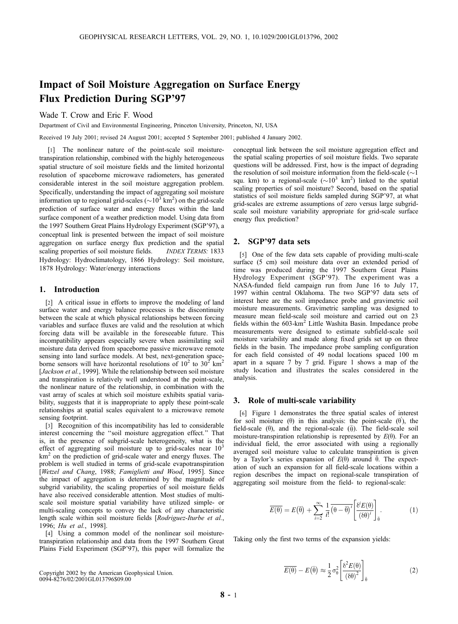# Impact of Soil Moisture Aggregation on Surface Energy Flux Prediction During SGP'97

Wade T. Crow and Eric F. Wood

Department of Civil and Environmental Engineering, Princeton University, Princeton, NJ, USA

Received 19 July 2001; revised 24 August 2001; accepted 5 September 2001; published 4 January 2002.

[1] The nonlinear nature of the point-scale soil moisturetranspiration relationship, combined with the highly heterogeneous spatial structure of soil moisture fields and the limited horizontal resolution of spaceborne microwave radiometers, has generated considerable interest in the soil moisture aggregation problem. Specifically, understanding the impact of aggregating soil moisture information up to regional grid-scales ( $\sim$ 10<sup>3</sup> km<sup>2</sup>) on the grid-scale prediction of surface water and energy fluxes within the land surface component of a weather prediction model. Using data from the 1997 Southern Great Plains Hydrology Experiment (SGP'97), a conceptual link is presented between the impact of soil moisture aggregation on surface energy flux prediction and the spatial scaling properties of soil moisture fields. INDEX TERMS: 1833 Hydrology: Hydroclimatology, 1866 Hydrology: Soil moisture, 1878 Hydrology: Water/energy interactions

### 1. Introduction

[2] A critical issue in efforts to improve the modeling of land surface water and energy balance processes is the discontinuity between the scale at which physical relationships between forcing variables and surface fluxes are valid and the resolution at which forcing data will be available in the foreseeable future. This incompatibility appears especially severe when assimilating soil moisture data derived from spaceborne passive microwave remote sensing into land surface models. At best, next-generation spaceborne sensors will have horizontal resolutions of  $10^2$  to  $30^2$  km<sup>2</sup> [Jackson et al., 1999]. While the relationship between soil moisture and transpiration is relatively well understood at the point-scale, the nonlinear nature of the relationship, in combination with the vast array of scales at which soil moisture exhibits spatial variability, suggests that it is inappropriate to apply these point-scale relationships at spatial scales equivalent to a microwave remote sensing footprint.

[3] Recognition of this incompatibility has led to considerable interest concerning the ''soil moisture aggregation effect.'' That is, in the presence of subgrid-scale heterogeneity, what is the effect of aggregating soil moisture up to grid-scales near  $10<sup>3</sup>$ km<sup>2</sup> on the prediction of grid-scale water and energy fluxes. The problem is well studied in terms of grid-scale evapotranspiration [Wetzel and Chang, 1988; Famiglietti and Wood, 1995]. Since the impact of aggregation is determined by the magnitude of subgrid variability, the scaling properties of soil moisture fields have also received considerable attention. Most studies of multiscale soil moisture spatial variability have utilized simple- or multi-scaling concepts to convey the lack of any characteristic length scale within soil moisture fields [Rodriguez-Iturbe et al., 1996; Hu et al., 1998].

[4] Using a common model of the nonlinear soil moisturetranspiration relationship and data from the 1997 Southern Great Plains Field Experiment (SGP'97), this paper will formalize the

conceptual link between the soil moisture aggregation effect and the spatial scaling properties of soil moisture fields. Two separate questions will be addressed. First, how is the impact of degrading the resolution of soil moisture information from the field-scale  $(\sim]$ squ. km) to a regional-scale  $({\sim}10^3 \text{ km}^2)$  linked to the spatial scaling properties of soil moisture? Second, based on the spatial statistics of soil moisture fields sampled during SGP'97, at what grid-scales are extreme assumptions of zero versus large subgridscale soil moisture variability appropriate for grid-scale surface energy flux prediction?

## 2. SGP'97 data sets

[5] One of the few data sets capable of providing multi-scale surface (5 cm) soil moisture data over an extended period of time was produced during the 1997 Southern Great Plains Hydrology Experiment (SGP'97). The experiment was a NASA-funded field campaign run from June 16 to July 17, 1997 within central Oklahoma. The two SGP'97 data sets of interest here are the soil impedance probe and gravimetric soil moisture measurements. Gravimetric sampling was designed to measure mean field-scale soil moisture and carried out on 23 fields within the 603-km<sup>2</sup> Little Washita Basin. Impedance probe measurements were designed to estimate subfield-scale soil moisture variability and made along fixed grids set up on three fields in the basin. The impedance probe sampling configuration for each field consisted of 49 nodal locations spaced 100 m apart in a square 7 by 7 grid. Figure 1 shows a map of the study location and illustrates the scales considered in the analysis.

#### 3. Role of multi-scale variability

[6] Figure 1 demonstrates the three spatial scales of interest for soil moisture  $(\theta)$  in this analysis: the point-scale  $(\theta)$ , the field-scale ( $\theta$ ), and the regional-scale ( $\bar{\theta}$ ). The field-scale soil moisture-transpiration relationship is represented by  $E(\theta)$ . For an individual field, the error associated with using a regionally averaged soil moisture value to calculate transpiration is given by a Taylor's series expansion of  $E(\theta)$  around  $\overline{\theta}$ . The expectation of such an expansion for all field-scale locations within a region describes the impact on regional-scale transpiration of aggregating soil moisture from the field- to regional-scale:

$$
\overline{E(\theta)} = E(\overline{\theta}) + \sum_{i=2}^{\infty} \frac{1}{i!} \overline{(\theta - \overline{\theta})^i} \left[ \frac{\delta^i E(\theta)}{(\delta \theta)^i} \right]_{\overline{\theta}}.
$$
 (1)

Taking only the first two terms of the expansion yields:

$$
\overline{E(\theta)} - E(\overline{\theta}) \approx \frac{1}{2} \sigma_{\theta}^2 \left[ \frac{\delta^2 E(\theta)}{\left(\delta \theta\right)^2} \right]_{\overline{\theta}}
$$
 (2)

Copyright 2002 by the American Geophysical Union. 0094-8276/02/2001GL013796\$09.00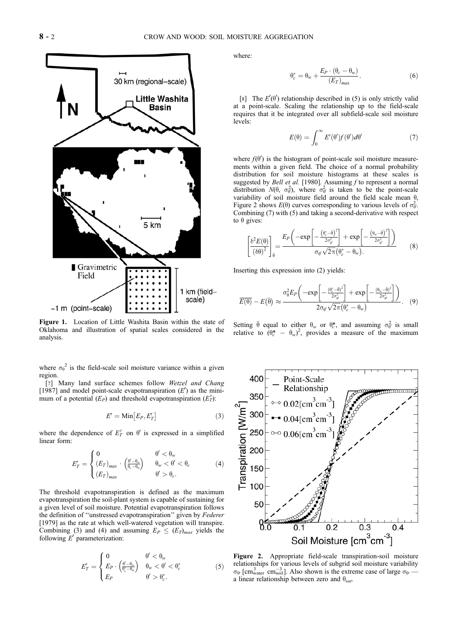

Figure 1. Location of Little Washita Basin within the state of Oklahoma and illustration of spatial scales considered in the analysis.

where  $\sigma_{\theta}^2$  is the field-scale soil moisture variance within a given region.

[7] Many land surface schemes follow Wetzel and Chang [1987] and model point-scale evapotranspiration  $(E')$  as the minimum of a potential  $(E_P)$  and threshold evapotranspiration  $(E'_T)$ :

$$
E' = \text{Min}\big[E_P, E'_T\big] \tag{3}
$$

where the dependence of  $E'_T$  on  $\theta'$  is expressed in a simplified linear form:

$$
E'_T = \begin{cases} 0 & \theta' < \theta_w \\ (E_T)_{max} & (\frac{\theta' - \theta_w}{\theta_c - \theta_w}) & \theta_w < \theta' < \theta_c \\ (E_T)_{max} & \theta' > \theta_c. \end{cases}
$$
(4)

The threshold evapotranspiration is defined as the maximum evapotranspiration the soil-plant system is capable of sustaining for a given level of soil moisture. Potential evapotranspiration follows the definition of "unstressed evapotranspiration" given by Federer [1979] as the rate at which well-watered vegetation will transpire. Combining (3) and (4) and assuming  $E_P \leq (E_T)_{max}$  yields the following  $E'$  parameterization:

$$
E'_T = \begin{cases} 0 & \theta' < \theta_w \\ E_P \cdot \left(\frac{\theta' - \theta_w}{\theta_c^* - \theta_w}\right) & \theta_w < \theta' < \theta_c^* \\ E_P & \theta' > \theta_c^* \end{cases} \tag{5}
$$

where:

$$
\theta_c^* = \theta_w + \frac{E_P \cdot (\theta_c - \theta_w)}{(E_T)_{max}}.
$$
 (6)

[8] The  $E'(\theta')$  relationship described in (5) is only strictly valid at a point-scale. Scaling the relationship up to the field-scale requires that it be integrated over all subfield-scale soil moisture levels:

$$
E(\theta) = \int_0^\infty E'(\theta') f(\theta') d\theta'
$$
 (7)

where  $f(\theta')$  is the histogram of point-scale soil moisture measurements within a given field. The choice of a normal probability distribution for soil moisture histograms at these scales is suggested by *Bell et al.* [1980]. Assuming  $f$  to represent a normal distribution  $N(\theta, \sigma_\theta^2)$ , where  $\sigma_\theta^2$  is taken to be the point-scale variability of soil moisture field around the field scale mean  $\theta$ , Figure 2 shows  $E(\theta)$  curves corresponding to various levels of  $\sigma_{\theta}^2$ . Combining (7) with (5) and taking a second-derivative with respect to  $\theta$  gives:

$$
\left[\frac{\delta^2 E(\theta)}{\left(\delta \theta\right)^2}\right]_{\bar{\theta}} = \frac{E_P\left(-\exp\left[-\frac{\left(\theta_c^* - \bar{\theta}\right)^2}{2\sigma_{\theta'}^2}\right] + \exp\left[-\frac{\left(\theta_w - \bar{\theta}\right)^2}{2\sigma_{\theta'}^2}\right]\right)}{\sigma_{\theta'}\sqrt{2\pi}\left(\theta_c^* - \theta_w\right)}\tag{8}
$$

Inserting this expression into (2) yields:

$$
\overline{E(\theta)} - E(\overline{\theta}) \approx \frac{\sigma_0^2 E_P \left( -\exp \left[ -\frac{(\theta_c^* - \overline{\theta})^2}{2\sigma_{\theta'}^2} \right] + \exp \left[ -\frac{(\theta_w - \overline{\theta})^2}{2\sigma_{\theta'}^2} \right] \right)}{2\sigma_{\theta'} \sqrt{2\pi} (\theta_c^* - \theta_w)}.
$$
(9)

Setting  $\bar{\theta}$  equal to either  $\theta_w$  or  $\theta_c^*$ , and assuming  $\sigma_{\theta}^2$  is small relative to  $(\theta_c^* - \theta_w)^2$ , provides a measure of the maximum



Figure 2. Appropriate field-scale transpiration-soil moisture relationships for various levels of subgrid soil moisture variability  $\sigma_{\theta}$  [cm<sub>water</sub> cm<sub>soil</sub>]. Also shown is the extreme case of large  $\sigma_{\theta}$  a linear relationship between zero and  $\theta_{sat}$ .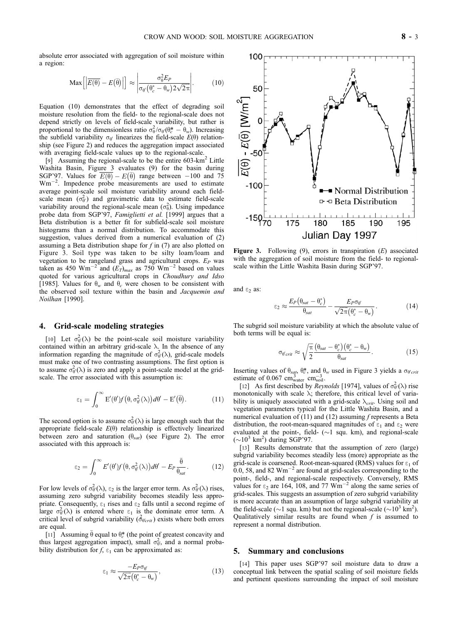absolute error associated with aggregation of soil moisture within a region:

$$
\text{Max}\left[\left|\overline{E(\theta)} - E(\overline{\theta})\right|\right] \approx \left|\frac{\sigma_{\theta}^2 E_P}{\sigma_{\theta'}(\theta_c^* - \theta_w) 2\sqrt{2\pi}}\right|.
$$
 (10)

Equation (10) demonstrates that the effect of degrading soil moisture resolution from the field- to the regional-scale does not depend strictly on levels of field-scale variability, but rather is proportional to the dimensionless ratio  $\sigma_{\theta}^2/\sigma_{\theta}(\theta_c^* - \theta_w)$ . Increasing the subfield variability  $\sigma_{\theta}$  linearizes the field-scale  $E(\theta)$  relationship (see Figure 2) and reduces the aggregation impact associated with averaging field-scale values up to the regional-scale.

[9] Assuming the regional-scale to be the entire 603-km<sup>2</sup> Little Washita Basin, Figure 3 evaluates (9) for the basin during SGP'97. Values for  $\overline{E(\theta)} - E(\overline{\theta})$  range between -100 and 75 Wm<sup>-2</sup>. Impedence probe measurements are used to estimate average point-scale soil moisture variability around each fieldscale mean  $(\sigma_{\theta}^2)$  and gravimetric data to estimate field-scale variability around the regional-scale mean  $(\sigma_{\theta}^2)$ . Using impedance probe data from SGP'97, Famiglietti et al. [1999] argues that a Beta distribution is a better fit for subfield-scale soil moisture histograms than a normal distribution. To accommodate this suggestion, values derived from a numerical evaluation of (2) assuming a Beta distribution shape for  $f$  in (7) are also plotted on Figure 3. Soil type was taken to be silty loam/loam and vegetation to be rangeland grass and agricultural crops.  $E_P$  was taken as 450 Wm<sup>-2</sup> and  $(E_T)_{max}$  as 750 Wm<sup>-2</sup> based on values quoted for various agricultural crops in Choudhury and Idso [1985]. Values for  $\theta_w$  and  $\theta_c$  were chosen to be consistent with the observed soil texture within the basin and Jacquemin and Noilhan [1990].

#### 4. Grid-scale modeling strategies

[10] Let  $\sigma_{\theta}^2(\lambda)$  be the point-scale soil moisture variability contained within an arbitrary grid-scale  $\lambda$ . In the absence of any information regarding the magnitude of  $\sigma_{\theta}^2(\lambda)$ , grid-scale models must make one of two contrasting assumptions. The first option is to assume  $\sigma_{\theta}^2(\lambda)$  is zero and apply a point-scale model at the gridscale. The error associated with this assumption is:

$$
\epsilon_1 = \int_0^\infty E'(\theta') f(\theta, \sigma_\theta^2(\lambda)) d\theta' - E'(\bar{\theta}). \tag{11}
$$

The second option is to assume  $\sigma_{\theta}^2(\lambda)$  is large enough such that the appropriate field-scale  $E(\theta)$  relationship is effectively linearized between zero and saturation  $(\theta_{sat})$  (see Figure 2). The error associated with this approach is:

$$
\epsilon_2 = \int_0^\infty E'(\theta') f(\theta, \sigma_{\theta'}^2(\lambda)) d\theta' - E_P \frac{\bar{\theta}}{\theta_{sat}}.
$$
 (12)

For low levels of  $\sigma_{\theta}^2(\lambda)$ ,  $\varepsilon_2$  is the larger error term. As  $\sigma_{\theta}^2(\lambda)$  rises, assuming zero subgrid variability becomes steadily less appropriate. Consequently,  $\varepsilon_1$  rises and  $\varepsilon_2$  falls until a second regime of large  $\sigma_{\theta}^2(\lambda)$  is entered where  $\epsilon_1$  is the dominate error term. A critical level of subgrid variability  $(\hat{\sigma}_{\theta' \text{crit}})$  exists where both errors are equal.

[11] Assuming  $\bar{\theta}$  equal to  $\theta_c^*$  (the point of greatest concavity and thus largest aggregation impact), small  $\sigma_{\theta}^2$ , and a normal probability distribution for  $f$ ,  $\varepsilon_1$  can be approximated as:

$$
\varepsilon_1 \approx \frac{-E_P \sigma_{\theta'}}{\sqrt{2\pi} \left(\theta_c^* - \theta_w\right)},\tag{13}
$$



Figure 3. Following  $(9)$ , errors in transpiration  $(E)$  associated with the aggregation of soil moisture from the field- to regionalscale within the Little Washita Basin during SGP'97.

and  $\varepsilon_2$  as:

$$
\epsilon_2 \approx \frac{E_P(\theta_{sat} - \theta_c^*)}{\theta_{sat}} - \frac{E_P \sigma_{\theta'}}{\sqrt{2\pi}(\theta_c^* - \theta_w)}.
$$
 (14)

The subgrid soil moisture variability at which the absolute value of both terms will be equal is:

$$
\sigma_{\theta' crit} \approx \sqrt{\frac{\pi}{2}} \frac{\left(\theta_{sat} - \theta_c^*\right)\left(\theta_c^* - \theta_w\right)}{\theta_{sat}}.
$$
\n(15)

Inserting values of  $\theta_{\text{sqt}}$ ,  $\theta_c^*$ , and  $\theta_w$  used in Figure 3 yields a  $\sigma_{\theta' \text{crit}}$ estimate of 0.067  $\text{cm}_{\text{water}}^{3}$   $\text{cm}_{\text{soil}}^{-3}$ .

[12] As first described by *Reynolds* [1974], values of  $\sigma_{\theta}^2(\lambda)$  rise monotonically with scale  $\lambda$ ; therefore, this critical level of variability is uniquely associated with a grid-scale  $\lambda_{crit}$ . Using soil and vegetation parameters typical for the Little Washita Basin, and a numerical evaluation of (11) and (12) assuming  $f$  represents a Beta distribution, the root-mean-squared magnitudes of  $\varepsilon_1$  and  $\varepsilon_2$  were evaluated at the point-, field-  $(\sim 1 \text{ squ. km})$ , and regional-scale  $({\sim}10^3 \text{ km}^2)$  during SGP'97.

[13] Results demonstrate that the assumption of zero (large) subgrid variability becomes steadily less (more) appropriate as the grid-scale is coarsened. Root-mean-squared (RMS) values for  $\varepsilon_1$  of 0.0, 58, and 82  $\text{Wm}^{-2}$  are found at grid-scales corresponding to the point-, field-, and regional-scale respectively. Conversely, RMS values for  $\varepsilon_2$  are 164, 108, and 77 Wm<sup>-2</sup> along the same series of grid-scales. This suggests an assumption of zero subgrid variability is more accurate than an assumption of large subgrid variability at the field-scale ( $\sim$ 1 squ. km) but not the regional-scale ( $\sim$ 10<sup>3</sup> km<sup>2</sup>). Qualitatively similar results are found when  $f$  is assumed to represent a normal distribution.

#### 5. Summary and conclusions

[14] This paper uses SGP'97 soil moisture data to draw a conceptual link between the spatial scaling of soil moisture fields and pertinent questions surrounding the impact of soil moisture